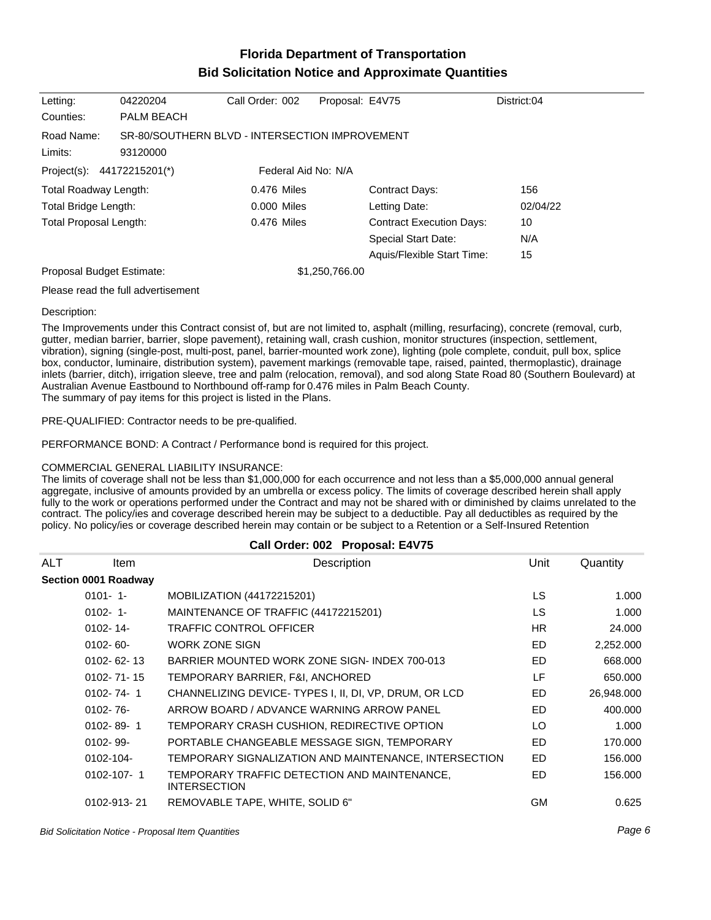# **Florida Department of Transportation Bid Solicitation Notice and Approximate Quantities**

| Letting:                   | 04220204                                                   | Call Order: 002     | Proposal: E4V75 |                                 | District:04 |
|----------------------------|------------------------------------------------------------|---------------------|-----------------|---------------------------------|-------------|
| Counties:                  | <b>PALM BEACH</b>                                          |                     |                 |                                 |             |
| Road Name:<br>Limits:      | SR-80/SOUTHERN BLVD - INTERSECTION IMPROVEMENT<br>93120000 |                     |                 |                                 |             |
| Project(s): 44172215201(*) |                                                            | Federal Aid No: N/A |                 |                                 |             |
| Total Roadway Length:      |                                                            | 0.476 Miles         |                 | <b>Contract Days:</b>           | 156         |
| Total Bridge Length:       |                                                            | 0.000 Miles         |                 | Letting Date:                   | 02/04/22    |
| Total Proposal Length:     |                                                            | 0.476 Miles         |                 | <b>Contract Execution Days:</b> | 10          |
|                            |                                                            |                     |                 | <b>Special Start Date:</b>      | N/A         |
|                            |                                                            |                     |                 | Aquis/Flexible Start Time:      | 15          |
| Proposal Budget Estimate:  |                                                            |                     | \$1,250,766.00  |                                 |             |
|                            |                                                            |                     |                 |                                 |             |

Please read the full advertisement

#### Description:

The Improvements under this Contract consist of, but are not limited to, asphalt (milling, resurfacing), concrete (removal, curb, gutter, median barrier, barrier, slope pavement), retaining wall, crash cushion, monitor structures (inspection, settlement, vibration), signing (single-post, multi-post, panel, barrier-mounted work zone), lighting (pole complete, conduit, pull box, splice box, conductor, luminaire, distribution system), pavement markings (removable tape, raised, painted, thermoplastic), drainage inlets (barrier, ditch), irrigation sleeve, tree and palm (relocation, removal), and sod along State Road 80 (Southern Boulevard) at Australian Avenue Eastbound to Northbound off-ramp for 0.476 miles in Palm Beach County. The summary of pay items for this project is listed in the Plans.

PRE-QUALIFIED: Contractor needs to be pre-qualified.

PERFORMANCE BOND: A Contract / Performance bond is required for this project.

### COMMERCIAL GENERAL LIABILITY INSURANCE:

The limits of coverage shall not be less than \$1,000,000 for each occurrence and not less than a \$5,000,000 annual general aggregate, inclusive of amounts provided by an umbrella or excess policy. The limits of coverage described herein shall apply fully to the work or operations performed under the Contract and may not be shared with or diminished by claims unrelated to the contract. The policy/ies and coverage described herein may be subject to a deductible. Pay all deductibles as required by the policy. No policy/ies or coverage described herein may contain or be subject to a Retention or a Self-Insured Retention

|     |                      | Call Order: 002 Proposal: E4V75                                     |           |            |
|-----|----------------------|---------------------------------------------------------------------|-----------|------------|
| ALT | ltem                 | Description                                                         | Unit      | Quantity   |
|     | Section 0001 Roadway |                                                                     |           |            |
|     | $0101 - 1$           | MOBILIZATION (44172215201)                                          | <b>LS</b> | 1.000      |
|     | $0102 - 1$           | MAINTENANCE OF TRAFFIC (44172215201)                                | <b>LS</b> | 1.000      |
|     | $0102 - 14$ -        | <b>TRAFFIC CONTROL OFFICER</b>                                      | HR.       | 24.000     |
|     | $0102 - 60 -$        | WORK ZONE SIGN                                                      | <b>ED</b> | 2,252.000  |
|     | $0102 - 62 - 13$     | BARRIER MOUNTED WORK ZONE SIGN-INDEX 700-013                        | ED.       | 668,000    |
|     | $0102 - 71 - 15$     | TEMPORARY BARRIER, F&I, ANCHORED                                    | LF.       | 650,000    |
|     | $0102 - 74 - 1$      | CHANNELIZING DEVICE-TYPES I, II, DI, VP, DRUM, OR LCD               | ED.       | 26,948.000 |
|     | $0102 - 76 -$        | ARROW BOARD / ADVANCE WARNING ARROW PANEL                           | <b>ED</b> | 400.000    |
|     | $0102 - 89 - 1$      | TEMPORARY CRASH CUSHION, REDIRECTIVE OPTION                         | LO.       | 1.000      |
|     | $0102 - 99 -$        | PORTABLE CHANGEABLE MESSAGE SIGN, TEMPORARY                         | ED        | 170,000    |
|     | 0102-104-            | TEMPORARY SIGNALIZATION AND MAINTENANCE, INTERSECTION               | ED        | 156,000    |
|     | $0102 - 107 - 1$     | TEMPORARY TRAFFIC DETECTION AND MAINTENANCE,<br><b>INTERSECTION</b> | <b>ED</b> | 156.000    |
|     | 0102-913-21          | REMOVABLE TAPE, WHITE, SOLID 6"                                     | <b>GM</b> | 0.625      |

Bid Solicitation Notice - Proposal Item Quantities Page 6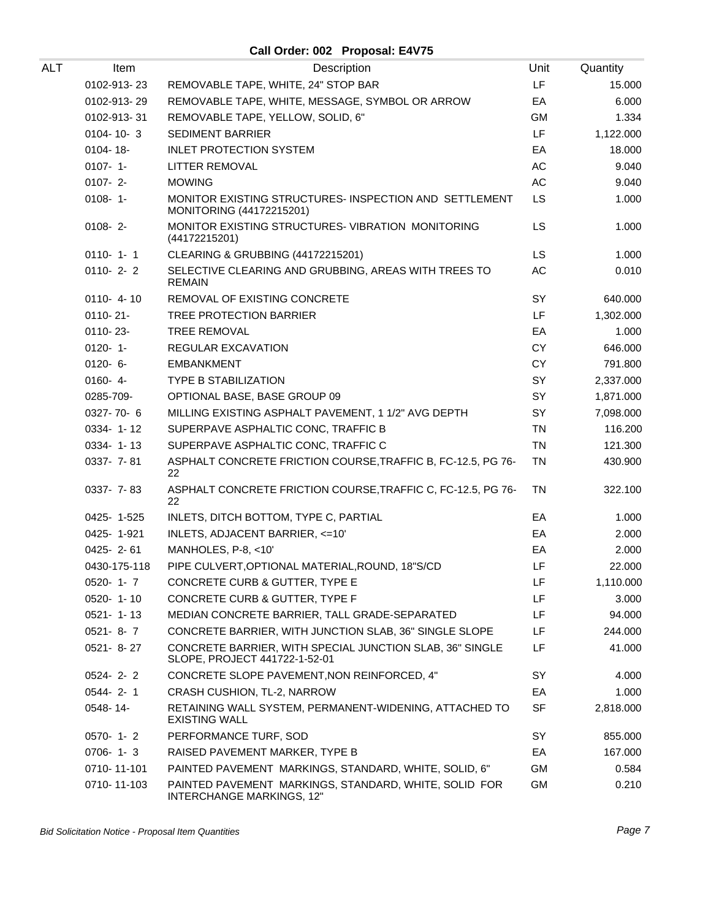**Call Order: 002 Proposal: E4V75**

| ALT | Item            | Description                                                                               | Unit      | Quantity  |
|-----|-----------------|-------------------------------------------------------------------------------------------|-----------|-----------|
|     | 0102-913-23     | REMOVABLE TAPE, WHITE, 24" STOP BAR                                                       | LF        | 15.000    |
|     | 0102-913-29     | REMOVABLE TAPE, WHITE, MESSAGE, SYMBOL OR ARROW                                           | EA        | 6.000     |
|     | 0102-913-31     | REMOVABLE TAPE, YELLOW, SOLID, 6"                                                         | GM        | 1.334     |
|     | $0104 - 10 - 3$ | <b>SEDIMENT BARRIER</b>                                                                   | LF        | 1,122.000 |
|     | 0104-18-        | <b>INLET PROTECTION SYSTEM</b>                                                            | EA        | 18.000    |
|     | $0107 - 1 -$    | LITTER REMOVAL                                                                            | AC        | 9.040     |
|     | $0107 - 2$      | <b>MOWING</b>                                                                             | AC        | 9.040     |
|     | $0108 - 1 -$    | MONITOR EXISTING STRUCTURES- INSPECTION AND SETTLEMENT<br>MONITORING (44172215201)        | <b>LS</b> | 1.000     |
|     | $0108 - 2 -$    | MONITOR EXISTING STRUCTURES-VIBRATION MONITORING<br>(44172215201)                         | <b>LS</b> | 1.000     |
|     | $0110 - 1 - 1$  | CLEARING & GRUBBING (44172215201)                                                         | LS        | 1.000     |
|     | $0110 - 2 - 2$  | SELECTIVE CLEARING AND GRUBBING, AREAS WITH TREES TO<br><b>REMAIN</b>                     | AC        | 0.010     |
|     | $0110 - 4 - 10$ | REMOVAL OF EXISTING CONCRETE                                                              | SY        | 640.000   |
|     | 0110-21-        | TREE PROTECTION BARRIER                                                                   | LF        | 1,302.000 |
|     | $0110 - 23 -$   | <b>TREE REMOVAL</b>                                                                       | EA        | 1.000     |
|     | $0120 - 1$      | <b>REGULAR EXCAVATION</b>                                                                 | <b>CY</b> | 646.000   |
|     | $0120 - 6 -$    | <b>EMBANKMENT</b>                                                                         | <b>CY</b> | 791.800   |
|     | $0160 - 4$      | <b>TYPE B STABILIZATION</b>                                                               | SY        | 2,337.000 |
|     | 0285-709-       | OPTIONAL BASE, BASE GROUP 09                                                              | SY        | 1,871.000 |
|     | 0327-70-6       | MILLING EXISTING ASPHALT PAVEMENT, 1 1/2" AVG DEPTH                                       | SY        | 7,098.000 |
|     | 0334-1-12       | SUPERPAVE ASPHALTIC CONC, TRAFFIC B                                                       | <b>TN</b> | 116.200   |
|     | 0334-1-13       | SUPERPAVE ASPHALTIC CONC, TRAFFIC C                                                       | <b>TN</b> | 121.300   |
|     | 0337- 7-81      | ASPHALT CONCRETE FRICTION COURSE, TRAFFIC B, FC-12.5, PG 76-<br>22                        | <b>TN</b> | 430.900   |
|     | 0337- 7-83      | ASPHALT CONCRETE FRICTION COURSE, TRAFFIC C, FC-12.5, PG 76-<br>22                        | <b>TN</b> | 322.100   |
|     | 0425-1-525      | INLETS, DITCH BOTTOM, TYPE C, PARTIAL                                                     | EA        | 1.000     |
|     | 0425-1-921      | INLETS, ADJACENT BARRIER, <= 10'                                                          | EA        | 2.000     |
|     | $0425 - 2 - 61$ | MANHOLES, P-8, <10'                                                                       | EA        | 2.000     |
|     | 0430-175-118    | PIPE CULVERT, OPTIONAL MATERIAL, ROUND, 18"S/CD                                           | LF        | 22.000    |
|     | $0520 - 1 - 7$  | CONCRETE CURB & GUTTER, TYPE E                                                            | LF        | 1,110.000 |
|     | 0520-1-10       | CONCRETE CURB & GUTTER, TYPE F                                                            | LF        | 3.000     |
|     | $0521 - 1 - 13$ | MEDIAN CONCRETE BARRIER, TALL GRADE-SEPARATED                                             | LF        | 94.000    |
|     | $0521 - 8 - 7$  | CONCRETE BARRIER, WITH JUNCTION SLAB, 36" SINGLE SLOPE                                    | LF        | 244.000   |
|     | $0521 - 8 - 27$ | CONCRETE BARRIER, WITH SPECIAL JUNCTION SLAB, 36" SINGLE<br>SLOPE, PROJECT 441722-1-52-01 | LF.       | 41.000    |
|     | $0524 - 2 - 2$  | CONCRETE SLOPE PAVEMENT, NON REINFORCED, 4"                                               | SY        | 4.000     |
|     | $0544 - 2 - 1$  | CRASH CUSHION, TL-2, NARROW                                                               | EA        | 1.000     |
|     | 0548-14-        | RETAINING WALL SYSTEM, PERMANENT-WIDENING, ATTACHED TO<br><b>EXISTING WALL</b>            | <b>SF</b> | 2,818.000 |
|     | $0570 - 1 - 2$  | PERFORMANCE TURF, SOD                                                                     | SY        | 855.000   |
|     | $0706 - 1 - 3$  | RAISED PAVEMENT MARKER, TYPE B                                                            | EA        | 167.000   |
|     | 0710-11-101     | PAINTED PAVEMENT MARKINGS, STANDARD, WHITE, SOLID, 6"                                     | <b>GM</b> | 0.584     |
|     | 0710-11-103     | PAINTED PAVEMENT MARKINGS, STANDARD, WHITE, SOLID FOR<br>INTERCHANGE MARKINGS, 12"        | GM        | 0.210     |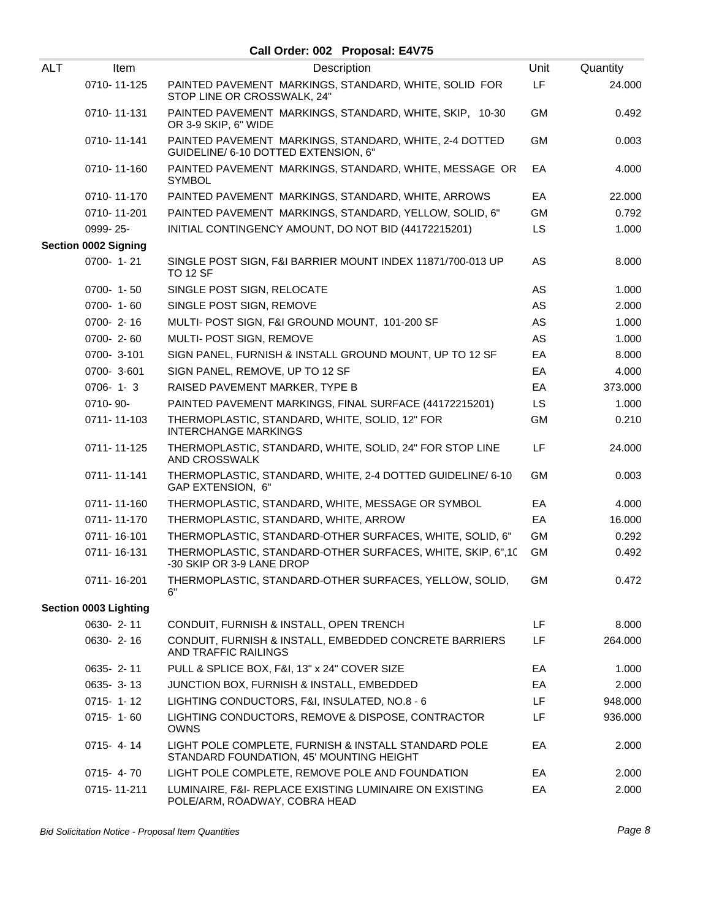## **Call Order: 002 Proposal: E4V75**

| <b>ALT</b> | Item                        | Description                                                                                      | Unit      | Quantity |
|------------|-----------------------------|--------------------------------------------------------------------------------------------------|-----------|----------|
|            | 0710-11-125                 | PAINTED PAVEMENT MARKINGS, STANDARD, WHITE, SOLID FOR<br>STOP LINE OR CROSSWALK, 24"             | LF        | 24.000   |
|            | 0710-11-131                 | PAINTED PAVEMENT MARKINGS, STANDARD, WHITE, SKIP, 10-30<br>OR 3-9 SKIP, 6" WIDE                  | <b>GM</b> | 0.492    |
|            | 0710-11-141                 | PAINTED PAVEMENT MARKINGS, STANDARD, WHITE, 2-4 DOTTED<br>GUIDELINE/ 6-10 DOTTED EXTENSION, 6"   | <b>GM</b> | 0.003    |
|            | 0710-11-160                 | PAINTED PAVEMENT MARKINGS, STANDARD, WHITE, MESSAGE OR<br><b>SYMBOL</b>                          | EA        | 4.000    |
|            | 0710-11-170                 | PAINTED PAVEMENT MARKINGS, STANDARD, WHITE, ARROWS                                               | EA        | 22.000   |
|            | 0710-11-201                 | PAINTED PAVEMENT MARKINGS, STANDARD, YELLOW, SOLID, 6"                                           | <b>GM</b> | 0.792    |
|            | 0999-25-                    | INITIAL CONTINGENCY AMOUNT, DO NOT BID (44172215201)                                             | <b>LS</b> | 1.000    |
|            | <b>Section 0002 Signing</b> |                                                                                                  |           |          |
|            | 0700-1-21                   | SINGLE POST SIGN, F&I BARRIER MOUNT INDEX 11871/700-013 UP<br><b>TO 12 SF</b>                    | <b>AS</b> | 8.000    |
|            | 0700-1-50                   | SINGLE POST SIGN, RELOCATE                                                                       | AS        | 1.000    |
|            | 0700-1-60                   | SINGLE POST SIGN, REMOVE                                                                         | AS        | 2.000    |
|            | 0700-2-16                   | MULTI- POST SIGN, F&I GROUND MOUNT, 101-200 SF                                                   | AS        | 1.000    |
|            | $0700 - 2 - 60$             | MULTI- POST SIGN, REMOVE                                                                         | AS        | 1.000    |
|            | 0700-3-101                  | SIGN PANEL, FURNISH & INSTALL GROUND MOUNT, UP TO 12 SF                                          | EA        | 8.000    |
|            | 0700-3-601                  | SIGN PANEL, REMOVE, UP TO 12 SF                                                                  | EA        | 4.000    |
|            | $0706 - 1 - 3$              | RAISED PAVEMENT MARKER, TYPE B                                                                   | EA        | 373.000  |
|            | 0710-90-                    | PAINTED PAVEMENT MARKINGS, FINAL SURFACE (44172215201)                                           | <b>LS</b> | 1.000    |
|            | 0711-11-103                 | THERMOPLASTIC, STANDARD, WHITE, SOLID, 12" FOR<br><b>INTERCHANGE MARKINGS</b>                    | <b>GM</b> | 0.210    |
|            | 0711-11-125                 | THERMOPLASTIC, STANDARD, WHITE, SOLID, 24" FOR STOP LINE<br>AND CROSSWALK                        | <b>LF</b> | 24.000   |
|            | 0711-11-141                 | THERMOPLASTIC, STANDARD, WHITE, 2-4 DOTTED GUIDELINE/ 6-10<br>GAP EXTENSION, 6"                  | <b>GM</b> | 0.003    |
|            | 0711-11-160                 | THERMOPLASTIC, STANDARD, WHITE, MESSAGE OR SYMBOL                                                | EA        | 4.000    |
|            | 0711-11-170                 | THERMOPLASTIC, STANDARD, WHITE, ARROW                                                            | EA        | 16.000   |
|            | 0711-16-101                 | THERMOPLASTIC, STANDARD-OTHER SURFACES, WHITE, SOLID, 6"                                         | <b>GM</b> | 0.292    |
|            | 0711-16-131                 | THERMOPLASTIC, STANDARD-OTHER SURFACES, WHITE, SKIP, 6",10<br>-30 SKIP OR 3-9 LANE DROP          | <b>GM</b> | 0.492    |
|            | 0711-16-201                 | THERMOPLASTIC, STANDARD-OTHER SURFACES, YELLOW, SOLID,<br>6"                                     | GM        | 0.472    |
|            | Section 0003 Lighting       |                                                                                                  |           |          |
|            | 0630-2-11                   | CONDUIT, FURNISH & INSTALL, OPEN TRENCH                                                          | LF        | 8.000    |
|            | 0630-2-16                   | CONDUIT, FURNISH & INSTALL, EMBEDDED CONCRETE BARRIERS<br>AND TRAFFIC RAILINGS                   | LF.       | 264.000  |
|            | 0635-2-11                   | PULL & SPLICE BOX, F&I, 13" x 24" COVER SIZE                                                     | EA        | 1.000    |
|            | 0635-3-13                   | JUNCTION BOX, FURNISH & INSTALL, EMBEDDED                                                        | EA        | 2.000    |
|            | $0715 - 1 - 12$             | LIGHTING CONDUCTORS, F&I, INSULATED, NO.8 - 6                                                    | LF.       | 948.000  |
|            | $0715 - 1 - 60$             | LIGHTING CONDUCTORS, REMOVE & DISPOSE, CONTRACTOR<br><b>OWNS</b>                                 | LF.       | 936.000  |
|            | $0715 - 4 - 14$             | LIGHT POLE COMPLETE, FURNISH & INSTALL STANDARD POLE<br>STANDARD FOUNDATION, 45' MOUNTING HEIGHT | EA        | 2.000    |
|            | $0715 - 4 - 70$             | LIGHT POLE COMPLETE, REMOVE POLE AND FOUNDATION                                                  | EA        | 2.000    |
|            | 0715-11-211                 | LUMINAIRE, F&I- REPLACE EXISTING LUMINAIRE ON EXISTING<br>POLE/ARM, ROADWAY, COBRA HEAD          | EA        | 2.000    |